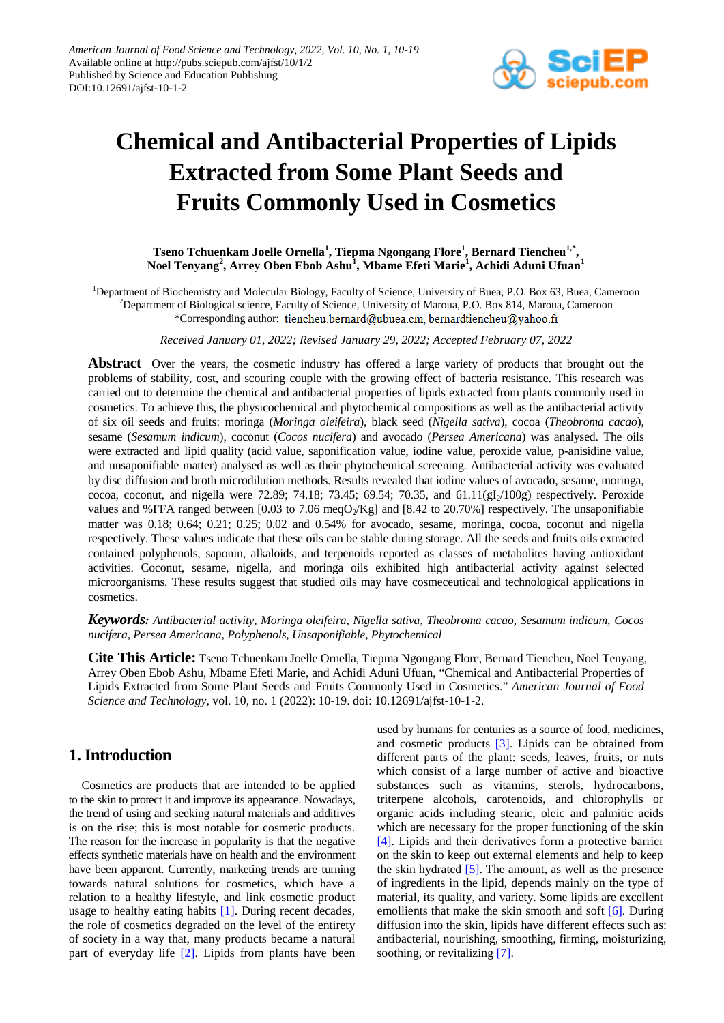

# **Chemical and Antibacterial Properties of Lipids Extracted from Some Plant Seeds and Fruits Commonly Used in Cosmetics**

**Tseno Tchuenkam Joelle Ornella<sup>1</sup> , Tiepma Ngongang Flore<sup>1</sup> , Bernard Tiencheu1,\* , Noel Tenyang<sup>2</sup> , Arrey Oben Ebob Ashu1 , Mbame Efeti Marie<sup>1</sup> , Achidi Aduni Ufuan<sup>1</sup>**

<sup>1</sup>Department of Biochemistry and Molecular Biology, Faculty of Science, University of Buea, P.O. Box 63, Buea, Cameroon <sup>2</sup>Department of Biological science, Faculty of Science, University of Maroua, P.O. Box 814, Maroua, Cameroon \*Corresponding author: tiencheu.bernard@ubuea.cm, bernardtiencheu@yahoo.fr

*Received January 01, 2022; Revised January 29, 2022; Accepted February 07, 2022*

**Abstract** Over the years, the cosmetic industry has offered a large variety of products that brought out the problems of stability, cost, and scouring couple with the growing effect of bacteria resistance. This research was carried out to determine the chemical and antibacterial properties of lipids extracted from plants commonly used in cosmetics. To achieve this, the physicochemical and phytochemical compositions as well as the antibacterial activity of six oil seeds and fruits: moringa (*Moringa oleifeira*), black seed (*Nigella sativa*), cocoa (*Theobroma cacao*), sesame (*Sesamum indicum*), coconut (*Cocos nucifera*) and avocado (*Persea Americana*) was analysed. The oils were extracted and lipid quality (acid value, saponification value, iodine value, peroxide value, p-anisidine value, and unsaponifiable matter) analysed as well as their phytochemical screening. Antibacterial activity was evaluated by disc diffusion and broth microdilution methods. Results revealed that iodine values of avocado, sesame, moringa, cocoa, coconut, and nigella were 72.89; 74.18; 73.45; 69.54; 70.35, and  $61.11(gI<sub>2</sub>/100g)$  respectively. Peroxide values and %FFA ranged between [0.03 to 7.06 meqO<sub>2</sub>/Kg] and [8.42 to 20.70%] respectively. The unsaponifiable matter was 0.18; 0.64; 0.21; 0.25; 0.02 and 0.54% for avocado, sesame, moringa, cocoa, coconut and nigella respectively. These values indicate that these oils can be stable during storage. All the seeds and fruits oils extracted contained polyphenols, saponin, alkaloids, and terpenoids reported as classes of metabolites having antioxidant activities. Coconut, sesame, nigella, and moringa oils exhibited high antibacterial activity against selected microorganisms. These results suggest that studied oils may have cosmeceutical and technological applications in cosmetics.

*Keywords: Antibacterial activity, Moringa oleifeira, Nigella sativa, Theobroma cacao, Sesamum indicum, Cocos nucifera, Persea Americana, Polyphenols, Unsaponifiable, Phytochemical*

**Cite This Article:** Tseno Tchuenkam Joelle Ornella, Tiepma Ngongang Flore, Bernard Tiencheu, Noel Tenyang, Arrey Oben Ebob Ashu, Mbame Efeti Marie, and Achidi Aduni Ufuan, "Chemical and Antibacterial Properties of Lipids Extracted from Some Plant Seeds and Fruits Commonly Used in Cosmetics." *American Journal of Food Science and Technology*, vol. 10, no. 1 (2022): 10-19. doi: 10.12691/ajfst-10-1-2.

# **1. Introduction**

Cosmetics are products that are intended to be applied to the skin to protect it and improve its appearance. Nowadays, the trend of using and seeking natural materials and additives is on the rise; this is most notable for cosmetic products. The reason for the increase in popularity is that the negative effects synthetic materials have on health and the environment have been apparent. Currently, marketing trends are turning towards natural solutions for cosmetics, which have a relation to a healthy lifestyle, and link cosmetic product usage to healthy eating habits [\[1\].](#page-7-0) During recent decades, the role of cosmetics degraded on the level of the entirety of society in a way that, many products became a natural part of everyday life [\[2\].](#page-7-1) Lipids from plants have been

used by humans for centuries as a source of food, medicines, and cosmetic products [\[3\].](#page-7-2) Lipids can be obtained from different parts of the plant: seeds, leaves, fruits, or nuts which consist of a large number of active and bioactive substances such as vitamins, sterols, hydrocarbons, triterpene alcohols, carotenoids, and chlorophylls or organic acids including stearic, oleic and palmitic acids which are necessary for the proper functioning of the skin [\[4\].](#page-7-3) Lipids and their derivatives form a protective barrier on the skin to keep out external elements and help to keep the skin hydrated [\[5\].](#page-7-4) The amount, as well as the presence of ingredients in the lipid, depends mainly on the type of material, its quality, and variety. Some lipids are excellent emollients that make the skin smooth and soft [\[6\].](#page-7-5) During diffusion into the skin, lipids have different effects such as: antibacterial, nourishing, smoothing, firming, moisturizing, soothing, or revitalizing [\[7\].](#page-7-6)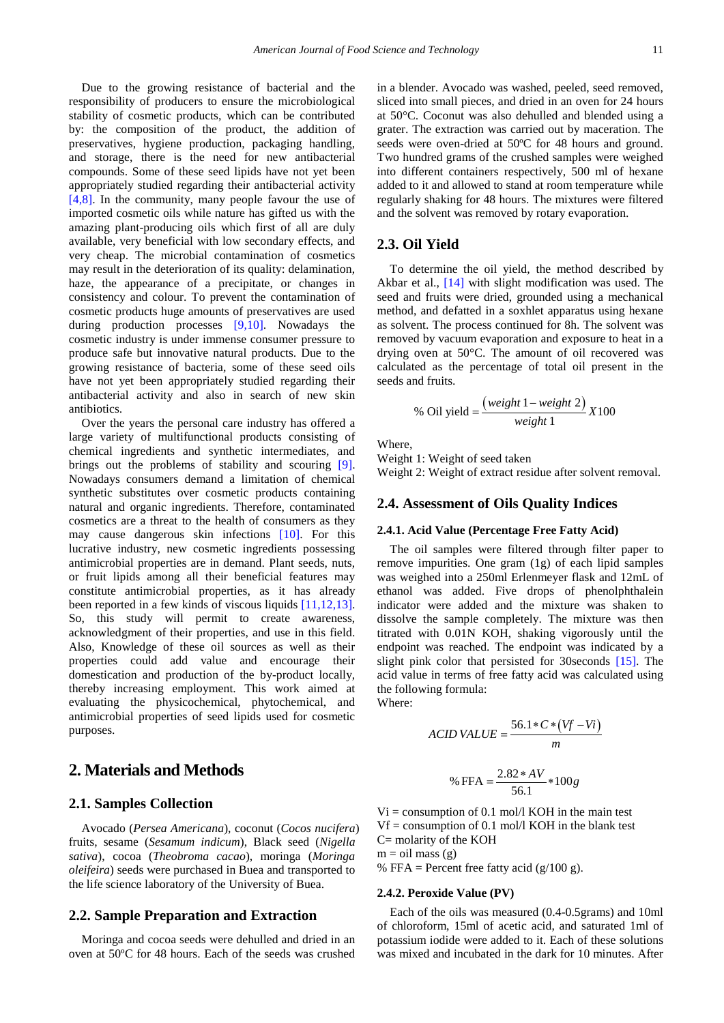Due to the growing resistance of bacterial and the responsibility of producers to ensure the microbiological stability of cosmetic products, which can be contributed by: the composition of the product, the addition of preservatives, hygiene production, packaging handling, and storage, there is the need for new antibacterial compounds. Some of these seed lipids have not yet been appropriately studied regarding their antibacterial activity [\[4,8\].](#page-7-3) In the community, many people favour the use of imported cosmetic oils while nature has gifted us with the amazing plant-producing oils which first of all are duly available, very beneficial with low secondary effects, and very cheap. The microbial contamination of cosmetics may result in the deterioration of its quality: delamination, haze, the appearance of a precipitate, or changes in consistency and colour. To prevent the contamination of cosmetic products huge amounts of preservatives are used during production processes [\[9,10\].](#page-7-7) Nowadays the cosmetic industry is under immense consumer pressure to produce safe but innovative natural products. Due to the growing resistance of bacteria, some of these seed oils have not yet been appropriately studied regarding their antibacterial activity and also in search of new skin antibiotics.

Over the years the personal care industry has offered a large variety of multifunctional products consisting of chemical ingredients and synthetic intermediates, and brings out the problems of stability and scouring [\[9\].](#page-7-7) Nowadays consumers demand a limitation of chemical synthetic substitutes over cosmetic products containing natural and organic ingredients. Therefore, contaminated cosmetics are a threat to the health of consumers as they may cause dangerous skin infections [\[10\].](#page-7-8) For this lucrative industry, new cosmetic ingredients possessing antimicrobial properties are in demand. Plant seeds, nuts, or fruit lipids among all their beneficial features may constitute antimicrobial properties, as it has already been reported in a few kinds of viscous liquids [\[11,12,13\].](#page-8-0) So, this study will permit to create awareness, acknowledgment of their properties, and use in this field. Also, Knowledge of these oil sources as well as their properties could add value and encourage their domestication and production of the by-product locally, thereby increasing employment. This work aimed at evaluating the physicochemical, phytochemical, and antimicrobial properties of seed lipids used for cosmetic purposes.

# **2. Materials and Methods**

#### **2.1. Samples Collection**

Avocado (*Persea Americana*), coconut (*Cocos nucifera*) fruits, sesame (*Sesamum indicum*), Black seed (*Nigella sativa*), cocoa (*Theobroma cacao*), moringa (*Moringa oleifeira*) seeds were purchased in Buea and transported to the life science laboratory of the University of Buea.

#### **2.2. Sample Preparation and Extraction**

Moringa and cocoa seeds were dehulled and dried in an oven at 50ºC for 48 hours. Each of the seeds was crushed in a blender. Avocado was washed, peeled, seed removed, sliced into small pieces, and dried in an oven for 24 hours at 50°C. Coconut was also dehulled and blended using a grater. The extraction was carried out by maceration. The seeds were oven-dried at 50ºC for 48 hours and ground. Two hundred grams of the crushed samples were weighed into different containers respectively, 500 ml of hexane added to it and allowed to stand at room temperature while regularly shaking for 48 hours. The mixtures were filtered and the solvent was removed by rotary evaporation.

## **2.3. Oil Yield**

To determine the oil yield, the method described by Akbar et al., [\[14\]](#page-8-1) with slight modification was used. The seed and fruits were dried, grounded using a mechanical method, and defatted in a soxhlet apparatus using hexane as solvent. The process continued for 8h. The solvent was removed by vacuum evaporation and exposure to heat in a drying oven at 50°C. The amount of oil recovered was calculated as the percentage of total oil present in the seeds and fruits.

$$
\% \text{ Oil yield} = \frac{\left( weight \ 1 - weight \ 2\right)}{weight \ 1} X 100
$$

Where,

Weight 1: Weight of seed taken

Weight 2: Weight of extract residue after solvent removal.

#### **2.4. Assessment of Oils Quality Indices**

#### **2.4.1. Acid Value (Percentage Free Fatty Acid)**

The oil samples were filtered through filter paper to remove impurities. One gram (1g) of each lipid samples was weighed into a 250ml Erlenmeyer flask and 12mL of ethanol was added. Five drops of phenolphthalein indicator were added and the mixture was shaken to dissolve the sample completely. The mixture was then titrated with 0.01N KOH, shaking vigorously until the endpoint was reached. The endpoint was indicated by a slight pink color that persisted for 30seconds [\[15\].](#page-8-2) The acid value in terms of free fatty acid was calculated using the following formula:

Where:

ACID VALUE = 
$$
\frac{56.1*C*(Vf - Vi)}{m}
$$
  
% FFA = 
$$
\frac{2.82*AV}{56.1}*100g
$$

 $Vi = consumption$  of 0.1 mol/l KOH in the main test  $Vf =$  consumption of 0.1 mol/l KOH in the blank test C= molarity of the KOH

 $m = oil$  mass (g) % FFA = Percent free fatty acid  $(g/100 g)$ .

#### **2.4.2. Peroxide Value (PV)**

Each of the oils was measured (0.4-0.5grams) and 10ml of chloroform, 15ml of acetic acid, and saturated 1ml of potassium iodide were added to it. Each of these solutions was mixed and incubated in the dark for 10 minutes. After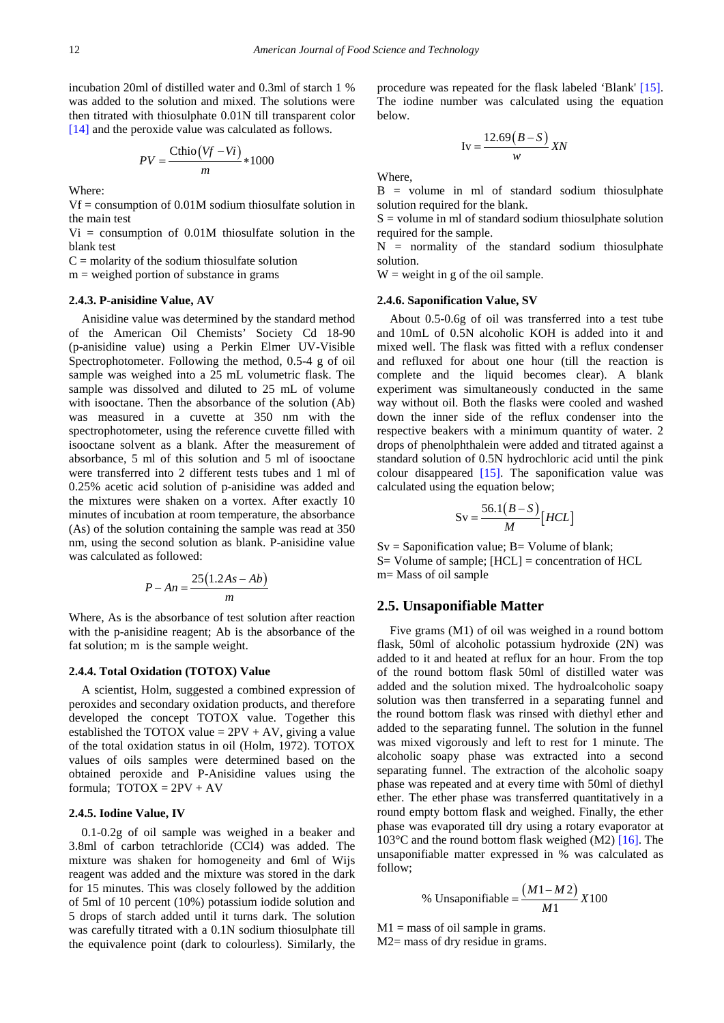incubation 20ml of distilled water and 0.3ml of starch 1 % was added to the solution and mixed. The solutions were then titrated with thiosulphate 0.01N till transparent color [\[14\]](#page-8-1) and the peroxide value was calculated as follows.

$$
PV = \frac{\text{Chio}(Vf - Vi)}{m} * 1000
$$

Where:

Vf = consumption of 0.01M sodium thiosulfate solution in the main test

 $Vi = consumption of 0.01M$  thiosulfate solution in the blank test

 $C =$  molarity of the sodium thiosulfate solution

 $m =$  weighed portion of substance in grams

#### **2.4.3. P-anisidine Value, AV**

Anisidine value was determined by the standard method of the American Oil Chemists' Society Cd 18-90 (p-anisidine value) using a Perkin Elmer UV-Visible Spectrophotometer. Following the method, 0.5-4 g of oil sample was weighed into a 25 mL volumetric flask. The sample was dissolved and diluted to 25 mL of volume with isooctane. Then the absorbance of the solution (Ab) was measured in a cuvette at 350 nm with the spectrophotometer, using the reference cuvette filled with isooctane solvent as a blank. After the measurement of absorbance, 5 ml of this solution and 5 ml of isooctane were transferred into 2 different tests tubes and 1 ml of 0.25% acetic acid solution of p-anisidine was added and the mixtures were shaken on a vortex. After exactly 10 minutes of incubation at room temperature, the absorbance (As) of the solution containing the sample was read at 350 nm, using the second solution as blank. P-anisidine value was calculated as followed:

$$
P - An = \frac{25(1.2As - Ab)}{m}
$$

Where, As is the absorbance of test solution after reaction with the p-anisidine reagent; Ab is the absorbance of the fat solution; m is the sample weight.

#### **2.4.4. Total Oxidation (TOTOX) Value**

A scientist, Holm, suggested a combined expression of peroxides and secondary oxidation products, and therefore developed the concept TOTOX value. Together this established the TOTOX value =  $2PV + AV$ , giving a value of the total oxidation status in oil (Holm, 1972). TOTOX values of oils samples were determined based on the obtained peroxide and P-Anisidine values using the formula:  $TOTOX = 2PV + AV$ 

#### **2.4.5. Iodine Value, IV**

0.1-0.2g of oil sample was weighed in a beaker and 3.8ml of carbon tetrachloride (CCl4) was added. The mixture was shaken for homogeneity and 6ml of Wijs reagent was added and the mixture was stored in the dark for 15 minutes. This was closely followed by the addition of 5ml of 10 percent (10%) potassium iodide solution and 5 drops of starch added until it turns dark. The solution was carefully titrated with a 0.1N sodium thiosulphate till the equivalence point (dark to colourless). Similarly, the procedure was repeated for the flask labeled 'Blank' [\[15\].](#page-8-2) The iodine number was calculated using the equation below.

$$
Iv = \frac{12.69(B-S)}{w}XN
$$

Where,

 $B =$  volume in ml of standard sodium thiosulphate solution required for the blank.

 $S =$  volume in ml of standard sodium thiosulphate solution required for the sample.

 $N =$  normality of the standard sodium thiosulphate solution.

 $W =$  weight in g of the oil sample.

## **2.4.6. Saponification Value, SV**

About 0.5-0.6g of oil was transferred into a test tube and 10mL of 0.5N alcoholic KOH is added into it and mixed well. The flask was fitted with a reflux condenser and refluxed for about one hour (till the reaction is complete and the liquid becomes clear). A blank experiment was simultaneously conducted in the same way without oil. Both the flasks were cooled and washed down the inner side of the reflux condenser into the respective beakers with a minimum quantity of water. 2 drops of phenolphthalein were added and titrated against a standard solution of 0.5N hydrochloric acid until the pink colour disappeared  $[15]$ . The saponification value was calculated using the equation below;

$$
Sv = \frac{56.1(B-S)}{M} [HCL]
$$

 $Sv =$  Saponification value;  $B =$  Volume of blank; S= Volume of sample; [HCL] = concentration of HCL m= Mass of oil sample

#### **2.5. Unsaponifiable Matter**

Five grams (M1) of oil was weighed in a round bottom flask, 50ml of alcoholic potassium hydroxide (2N) was added to it and heated at reflux for an hour. From the top of the round bottom flask 50ml of distilled water was added and the solution mixed. The hydroalcoholic soapy solution was then transferred in a separating funnel and the round bottom flask was rinsed with diethyl ether and added to the separating funnel. The solution in the funnel was mixed vigorously and left to rest for 1 minute. The alcoholic soapy phase was extracted into a second separating funnel. The extraction of the alcoholic soapy phase was repeated and at every time with 50ml of diethyl ether. The ether phase was transferred quantitatively in a round empty bottom flask and weighed. Finally, the ether phase was evaporated till dry using a rotary evaporator at 103°C and the round bottom flask weighed (M2) [\[16\].](#page-8-3) The unsaponifiable matter expressed in % was calculated as follow;

% Unsaponifiable = 
$$
\frac{(M1 - M2)}{M1}X100
$$

 $M1 =$  mass of oil sample in grams. M2= mass of dry residue in grams.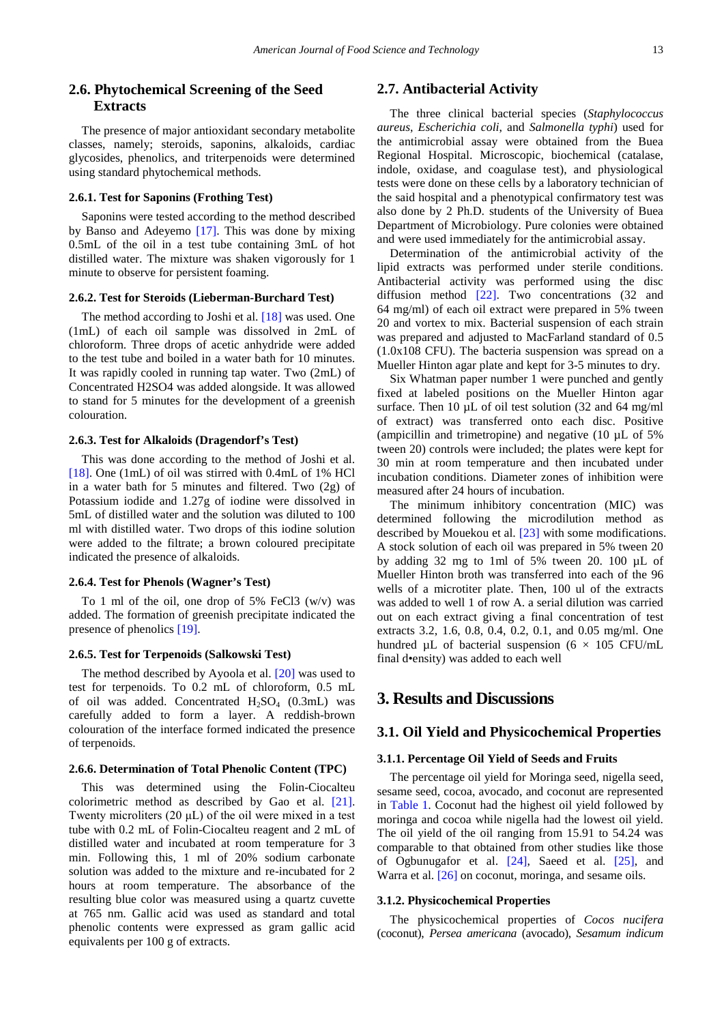## **2.6. Phytochemical Screening of the Seed Extracts**

The presence of major antioxidant secondary metabolite classes, namely; steroids, saponins, alkaloids, cardiac glycosides, phenolics, and triterpenoids were determined using standard phytochemical methods.

#### **2.6.1. Test for Saponins (Frothing Test)**

Saponins were tested according to the method described by Banso and Adeyemo [\[17\].](#page-8-4) This was done by mixing 0.5mL of the oil in a test tube containing 3mL of hot distilled water. The mixture was shaken vigorously for 1 minute to observe for persistent foaming.

#### **2.6.2. Test for Steroids (Lieberman-Burchard Test)**

The method according to Joshi et al. [\[18\]](#page-8-5) was used. One (1mL) of each oil sample was dissolved in 2mL of chloroform. Three drops of acetic anhydride were added to the test tube and boiled in a water bath for 10 minutes. It was rapidly cooled in running tap water. Two (2mL) of Concentrated H2SO4 was added alongside. It was allowed to stand for 5 minutes for the development of a greenish colouration.

#### **2.6.3. Test for Alkaloids (Dragendorf's Test)**

This was done according to the method of Joshi et al. [\[18\].](#page-8-5) One (1mL) of oil was stirred with 0.4mL of 1% HCl in a water bath for 5 minutes and filtered. Two (2g) of Potassium iodide and 1.27g of iodine were dissolved in 5mL of distilled water and the solution was diluted to 100 ml with distilled water. Two drops of this iodine solution were added to the filtrate; a brown coloured precipitate indicated the presence of alkaloids.

#### **2.6.4. Test for Phenols (Wagner's Test)**

To 1 ml of the oil, one drop of 5% FeCl3 (w/v) was added. The formation of greenish precipitate indicated the presence of phenolics [\[19\].](#page-8-6)

#### **2.6.5. Test for Terpenoids (Salkowski Test)**

The method described by Ayoola et al. [\[20\]](#page-8-7) was used to test for terpenoids. To 0.2 mL of chloroform, 0.5 mL of oil was added. Concentrated  $H_2SO_4$  (0.3mL) was carefully added to form a layer. A reddish-brown colouration of the interface formed indicated the presence of terpenoids.

#### **2.6.6. Determination of Total Phenolic Content (TPC)**

This was determined using the Folin-Ciocalteu colorimetric method as described by Gao et al. [\[21\].](#page-8-8) Twenty microliters (20 μL) of the oil were mixed in a test tube with 0.2 mL of Folin-Ciocalteu reagent and 2 mL of distilled water and incubated at room temperature for 3 min. Following this, 1 ml of 20% sodium carbonate solution was added to the mixture and re-incubated for 2 hours at room temperature. The absorbance of the resulting blue color was measured using a quartz cuvette at 765 nm. Gallic acid was used as standard and total phenolic contents were expressed as gram gallic acid equivalents per 100 g of extracts.

## **2.7. Antibacterial Activity**

The three clinical bacterial species (*Staphylococcus aureus*, *Escherichia coli*, and *Salmonella typhi*) used for the antimicrobial assay were obtained from the Buea Regional Hospital. Microscopic, biochemical (catalase, indole, oxidase, and coagulase test), and physiological tests were done on these cells by a laboratory technician of the said hospital and a phenotypical confirmatory test was also done by 2 Ph.D. students of the University of Buea Department of Microbiology. Pure colonies were obtained and were used immediately for the antimicrobial assay.

Determination of the antimicrobial activity of the lipid extracts was performed under sterile conditions. Antibacterial activity was performed using the disc diffusion method [\[22\].](#page-8-9) Two concentrations (32 and 64 mg/ml) of each oil extract were prepared in 5% tween 20 and vortex to mix. Bacterial suspension of each strain was prepared and adjusted to MacFarland standard of 0.5 (1.0x108 CFU). The bacteria suspension was spread on a Mueller Hinton agar plate and kept for 3-5 minutes to dry.

Six Whatman paper number 1 were punched and gently fixed at labeled positions on the Mueller Hinton agar surface. Then 10  $\mu$ L of oil test solution (32 and 64 mg/ml) of extract) was transferred onto each disc. Positive (ampicillin and trimetropine) and negative (10 µL of 5% tween 20) controls were included; the plates were kept for 30 min at room temperature and then incubated under incubation conditions. Diameter zones of inhibition were measured after 24 hours of incubation.

The minimum inhibitory concentration (MIC) was determined following the microdilution method as described by Mouekou et al. [\[23\]](#page-8-10) with some modifications. A stock solution of each oil was prepared in 5% tween 20 by adding 32 mg to 1ml of 5% tween 20. 100 µL of Mueller Hinton broth was transferred into each of the 96 wells of a microtiter plate. Then, 100 ul of the extracts was added to well 1 of row A. a serial dilution was carried out on each extract giving a final concentration of test extracts 3.2, 1.6, 0.8, 0.4, 0.2, 0.1, and 0.05 mg/ml. One hundred  $\mu$ L of bacterial suspension (6  $\times$  105 CFU/mL final d•ensity) was added to each well

# **3. Results and Discussions**

## **3.1. Oil Yield and Physicochemical Properties**

#### **3.1.1. Percentage Oil Yield of Seeds and Fruits**

The percentage oil yield for Moringa seed, nigella seed, sesame seed, cocoa, avocado, and coconut are represented in [Table 1.](#page-4-0) Coconut had the highest oil yield followed by moringa and cocoa while nigella had the lowest oil yield. The oil yield of the oil ranging from 15.91 to 54.24 was comparable to that obtained from other studies like those of Ogbunugafor et al. [\[24\],](#page-8-11) Saeed et al. [\[25\],](#page-8-12) and Warra et al[. \[26\]](#page-8-13) on coconut, moringa, and sesame oils.

#### **3.1.2. Physicochemical Properties**

The physicochemical properties of *Cocos nucifera*  (coconut), *Persea americana* (avocado), *Sesamum indicum*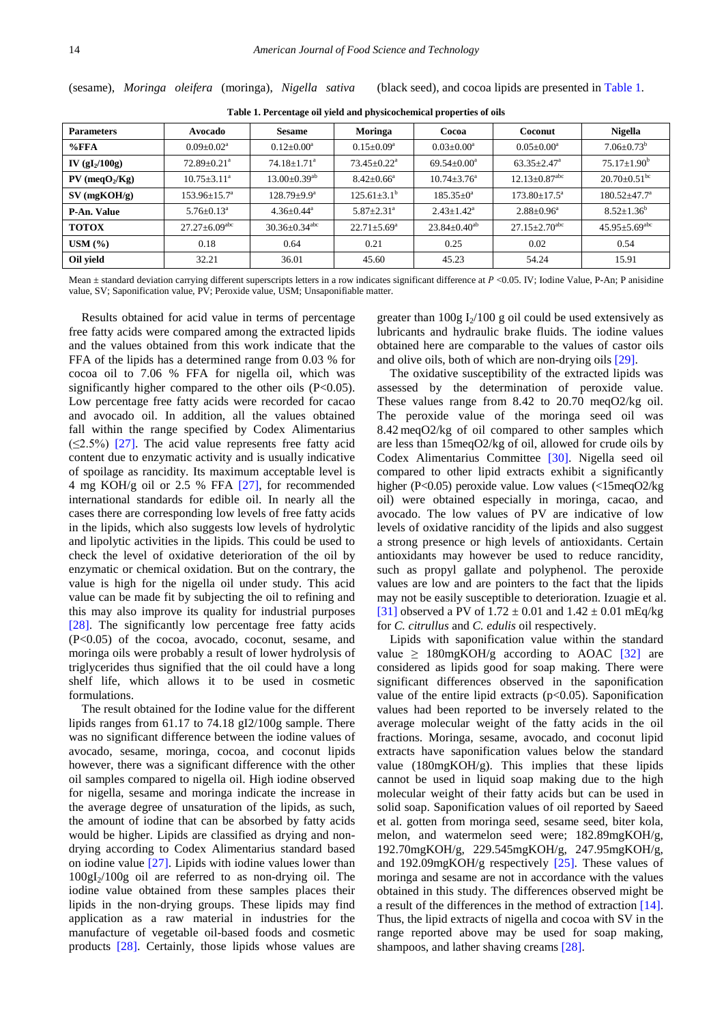<span id="page-4-0"></span>**Parameters Avocado Sesame Moringa Cocoa Coconut Nigella**  $\%$ FFA  $0.09\pm0.02^a$   $0.12\pm0.00^a$   $0.15\pm0.09^a$   $0.03\pm0.00^a$   $0.05\pm0.00^a$   $7.06\pm0.73^b$ **IV (gI<sub>2</sub>/100g**) 72.89±0.21<sup>a</sup> 74.18±1.71<sup>a</sup> 73.45±0.22<sup>a</sup> 69.54±0.00<sup>a</sup> 63.35±2.47<sup>a</sup> 75.17±1.90<sup>b</sup> **PV (meqO<sub>2</sub>/Kg)** 10.75±3.11<sup>a</sup> 13.00±0.39<sup>ab</sup> 8.42±0.66<sup>a</sup> 10.74±3.76<sup>a</sup> 12.13±0.87<sup>abc</sup> 20.70±0.51<sup>bc</sup> **SV (mgKOH/g)** 153.96±15.7<sup>a</sup> 128.79±9.9<sup>a</sup> 125.61±3.1<sup>b</sup> 185.35±0<sup>a</sup> 173.80±17.5<sup>a</sup> 180.52±47.7<sup>a</sup> **P-An. Value**  $\begin{array}{|l|c|c|c|c|c|c|c|}\n\hline\n\textbf{8.52}\pm\textbf{0.13}^a & \textbf{4.36}\pm\textbf{0.44}^a & \textbf{5.87}\pm\textbf{2.31}^a & \textbf{2.43}\pm\textbf{1.42}^a & \textbf{2.88}\pm\textbf{0.96}^a & \textbf{8.52}\pm\textbf{1.36}^b\n\hline\n\end{array}$ **TOTOX** 27.27±6.09<sup>abc</sup> 30.36±0.34<sup>abc</sup> 22.71±5.69<sup>a</sup> 23.84±0.40<sup>ab</sup> 27.15±2.70<sup>abc</sup> 45.95±5.69<sup>ab</sup> **USM (%)** 0.18 0.64 0.21 0.25 0.02 0.54 **Oil yield**  $\begin{array}{|c|c|c|c|c|c|} \hline \end{array}$  32.21  $\begin{array}{|c|c|c|c|c|c|} \hline \end{array}$  36.01  $\begin{array}{|c|c|c|c|c|} \hline \end{array}$  45.23  $\begin{array}{|c|c|c|c|c|} \hline \end{array}$  54.24  $\begin{array}{|c|c|c|c|c|} \hline \end{array}$  15.91

**Table 1. Percentage oil yield and physicochemical properties of oils**

(sesame), *Moringa oleifera* (moringa), *Nigella sativa* (black seed), and cocoa lipids are presented in [Table 1.](#page-4-0)

Mean  $\pm$  standard deviation carrying different superscripts letters in a row indicates significant difference at  $P \lt 0.05$ . IV; Iodine Value, P-An; P anisidine value, SV; Saponification value, PV; Peroxide value, USM; Unsaponifiable matter.

Results obtained for acid value in terms of percentage free fatty acids were compared among the extracted lipids and the values obtained from this work indicate that the FFA of the lipids has a determined range from 0.03 % for cocoa oil to 7.06 % FFA for nigella oil, which was significantly higher compared to the other oils (P<0.05). Low percentage free fatty acids were recorded for cacao and avocado oil. In addition, all the values obtained fall within the range specified by Codex Alimentarius  $(\leq 2.5\%)$  [\[27\].](#page-8-14) The acid value represents free fatty acid content due to enzymatic activity and is usually indicative of spoilage as rancidity. Its maximum acceptable level is 4 mg KOH/g oil or 2.5 % FFA [\[27\],](#page-8-14) for recommended international standards for edible oil. In nearly all the cases there are corresponding low levels of free fatty acids in the lipids, which also suggests low levels of hydrolytic and lipolytic activities in the lipids. This could be used to check the level of oxidative deterioration of the oil by enzymatic or chemical oxidation. But on the contrary, the value is high for the nigella oil under study. This acid value can be made fit by subjecting the oil to refining and this may also improve its quality for industrial purposes [\[28\].](#page-8-15) The significantly low percentage free fatty acids (P<0.05) of the cocoa, avocado, coconut, sesame, and moringa oils were probably a result of lower hydrolysis of triglycerides thus signified that the oil could have a long shelf life, which allows it to be used in cosmetic formulations.

The result obtained for the Iodine value for the different lipids ranges from 61.17 to 74.18 gI2/100g sample. There was no significant difference between the iodine values of avocado, sesame, moringa, cocoa, and coconut lipids however, there was a significant difference with the other oil samples compared to nigella oil. High iodine observed for nigella, sesame and moringa indicate the increase in the average degree of unsaturation of the lipids, as such, the amount of iodine that can be absorbed by fatty acids would be higher. Lipids are classified as drying and nondrying according to Codex Alimentarius standard based on iodine value [\[27\].](#page-8-14) Lipids with iodine values lower than  $100gI_2/100g$  oil are referred to as non-drying oil. The iodine value obtained from these samples places their lipids in the non-drying groups. These lipids may find application as a raw material in industries for the manufacture of vegetable oil-based foods and cosmetic products [\[28\].](#page-8-15) Certainly, those lipids whose values are

greater than  $100g I_2/100 g$  oil could be used extensively as lubricants and hydraulic brake fluids. The iodine values obtained here are comparable to the values of castor oils and olive oils, both of which are non-drying oil[s \[29\].](#page-8-16)

The oxidative susceptibility of the extracted lipids was assessed by the determination of peroxide value. These values range from 8.42 to 20.70 meqO2/kg oil. The peroxide value of the moringa seed oil was 8.42 meqO2/kg of oil compared to other samples which are less than 15meqO2/kg of oil, allowed for crude oils by Codex Alimentarius Committee [\[30\].](#page-8-17) Nigella seed oil compared to other lipid extracts exhibit a significantly higher (P<0.05) peroxide value. Low values (<15meqO2/kg oil) were obtained especially in moringa, cacao, and avocado. The low values of PV are indicative of low levels of oxidative rancidity of the lipids and also suggest a strong presence or high levels of antioxidants. Certain antioxidants may however be used to reduce rancidity, such as propyl gallate and polyphenol. The peroxide values are low and are pointers to the fact that the lipids may not be easily susceptible to deterioration. Izuagie et al. [\[31\]](#page-8-18) observed a PV of  $1.72 \pm 0.01$  and  $1.42 \pm 0.01$  mEq/kg for *C. citrullus* and *C. edulis* oil respectively.

Lipids with saponification value within the standard value  $\geq$  180mgKOH/g according to AOAC [\[32\]](#page-8-19) are considered as lipids good for soap making. There were significant differences observed in the saponification value of the entire lipid extracts ( $p<0.05$ ). Saponification values had been reported to be inversely related to the average molecular weight of the fatty acids in the oil fractions. Moringa, sesame, avocado, and coconut lipid extracts have saponification values below the standard value (180mgKOH/g). This implies that these lipids cannot be used in liquid soap making due to the high molecular weight of their fatty acids but can be used in solid soap. Saponification values of oil reported by Saeed et al. gotten from moringa seed, sesame seed, biter kola, melon, and watermelon seed were; 182.89mgKOH/g, 192.70mgKOH/g, 229.545mgKOH/g, 247.95mgKOH/g, and 192.09mgKOH/g respectively [\[25\].](#page-8-12) These values of moringa and sesame are not in accordance with the values obtained in this study. The differences observed might be a result of the differences in the method of extraction [\[14\].](#page-8-1) Thus, the lipid extracts of nigella and cocoa with SV in the range reported above may be used for soap making, shampoos, and lather shaving creams [\[28\].](#page-8-15)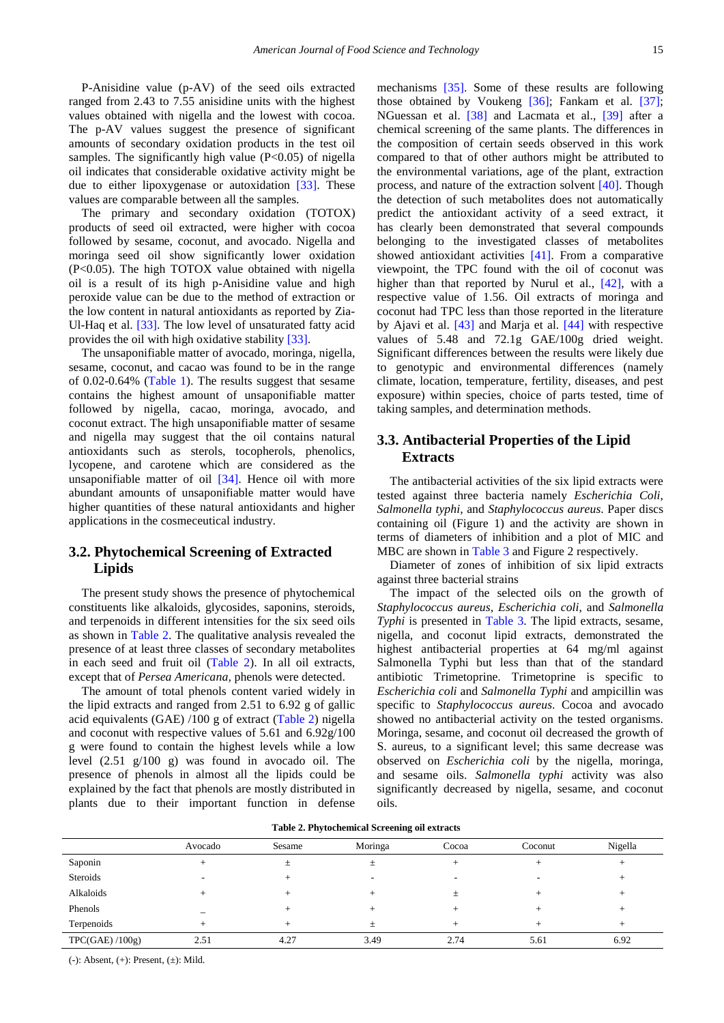P-Anisidine value (p-AV) of the seed oils extracted ranged from 2.43 to 7.55 anisidine units with the highest values obtained with nigella and the lowest with cocoa. The p-AV values suggest the presence of significant amounts of secondary oxidation products in the test oil samples. The significantly high value  $(P<0.05)$  of nigella oil indicates that considerable oxidative activity might be due to either lipoxygenase or autoxidation [\[33\].](#page-8-20) These values are comparable between all the samples.

The primary and secondary oxidation (TOTOX) products of seed oil extracted, were higher with cocoa followed by sesame, coconut, and avocado. Nigella and moringa seed oil show significantly lower oxidation (P<0.05). The high TOTOX value obtained with nigella oil is a result of its high p-Anisidine value and high peroxide value can be due to the method of extraction or the low content in natural antioxidants as reported by Zia-Ul-Haq et al. [\[33\].](#page-8-20) The low level of unsaturated fatty acid provides the oil with high oxidative stability [\[33\].](#page-8-20)

The unsaponifiable matter of avocado, moringa, nigella, sesame, coconut, and cacao was found to be in the range of 0.02-0.64% [\(Table 1\)](#page-4-0). The results suggest that sesame contains the highest amount of unsaponifiable matter followed by nigella, cacao, moringa, avocado, and coconut extract. The high unsaponifiable matter of sesame and nigella may suggest that the oil contains natural antioxidants such as sterols, tocopherols, phenolics, lycopene, and carotene which are considered as the unsaponifiable matter of oil [\[34\].](#page-8-21) Hence oil with more abundant amounts of unsaponifiable matter would have higher quantities of these natural antioxidants and higher applications in the cosmeceutical industry.

# **3.2. Phytochemical Screening of Extracted Lipids**

The present study shows the presence of phytochemical constituents like alkaloids, glycosides, saponins, steroids, and terpenoids in different intensities for the six seed oils as shown in [Table 2.](#page-5-0) The qualitative analysis revealed the presence of at least three classes of secondary metabolites in each seed and fruit oil [\(Table 2\)](#page-5-0). In all oil extracts, except that of *Persea Americana,* phenols were detected.

The amount of total phenols content varied widely in the lipid extracts and ranged from 2.51 to 6.92 g of gallic acid equivalents (GAE) /100 g of extract [\(Table 2\)](#page-5-0) nigella and coconut with respective values of 5.61 and 6.92g/100 g were found to contain the highest levels while a low level (2.51 g/100 g) was found in avocado oil. The presence of phenols in almost all the lipids could be explained by the fact that phenols are mostly distributed in plants due to their important function in defense mechanisms [\[35\].](#page-8-22) Some of these results are following those obtained by Voukeng [\[36\];](#page-8-23) Fankam et al. [\[37\];](#page-8-24) NGuessan et al. [\[38\]](#page-8-25) and Lacmata et al., [\[39\]](#page-8-26) after a chemical screening of the same plants. The differences in the composition of certain seeds observed in this work compared to that of other authors might be attributed to the environmental variations, age of the plant, extraction process, and nature of the extraction solvent [\[40\].](#page-8-27) Though the detection of such metabolites does not automatically predict the antioxidant activity of a seed extract, it has clearly been demonstrated that several compounds belonging to the investigated classes of metabolites showed antioxidant activities [\[41\].](#page-8-28) From a comparative viewpoint, the TPC found with the oil of coconut was higher than that reported by Nurul et al., [\[42\],](#page-8-29) with a respective value of 1.56. Oil extracts of moringa and coconut had TPC less than those reported in the literature by Ajavi et al. [\[43\]](#page-8-30) and Marja et al. [\[44\]](#page-8-31) with respective values of 5.48 and 72.1g GAE/100g dried weight. Significant differences between the results were likely due to genotypic and environmental differences (namely climate, location, temperature, fertility, diseases, and pest exposure) within species, choice of parts tested, time of taking samples, and determination methods.

## **3.3. Antibacterial Properties of the Lipid Extracts**

The antibacterial activities of the six lipid extracts were tested against three bacteria namely *Escherichia Coli*, *Salmonella typhi,* and *Staphylococcus aureus*. Paper discs containing oil (Figure 1) and the activity are shown in terms of diameters of inhibition and a plot of MIC and MBC are shown in [Table 3](#page-6-0) and Figure 2 respectively.

Diameter of zones of inhibition of six lipid extracts against three bacterial strains

The impact of the selected oils on the growth of *Staphylococcus aureus*, *Escherichia coli*, and *Salmonella Typhi* is presented in [Table 3.](#page-6-0) The lipid extracts, sesame, nigella, and coconut lipid extracts, demonstrated the highest antibacterial properties at 64 mg/ml against Salmonella Typhi but less than that of the standard antibiotic Trimetoprine. Trimetoprine is specific to *Escherichia coli* and *Salmonella Typhi* and ampicillin was specific to *Staphylococcus aureus*. Cocoa and avocado showed no antibacterial activity on the tested organisms. Moringa, sesame, and coconut oil decreased the growth of S. aureus, to a significant level; this same decrease was observed on *Escherichia coli* by the nigella, moringa, and sesame oils. *Salmonella typhi* activity was also significantly decreased by nigella, sesame, and coconut oils.

|  | Table 2. Phytochemical Screening oil extracts |  |  |  |
|--|-----------------------------------------------|--|--|--|
|--|-----------------------------------------------|--|--|--|

<span id="page-5-0"></span>

|               | Avocado | Sesame | Moringa                  | Cocoa | Coconut | Nigella |
|---------------|---------|--------|--------------------------|-------|---------|---------|
| Saponin       |         | $^{+}$ | 土                        |       |         |         |
| Steroids      |         |        | $\overline{\phantom{a}}$ |       |         |         |
| Alkaloids     |         |        |                          |       |         |         |
| Phenols       |         |        |                          |       |         |         |
| Terpenoids    |         |        | $^{+}$                   |       |         |         |
| TPC(GAE)/100g | 2.51    | 4.27   | 3.49                     | 2.74  | 5.61    | 6.92    |
|               |         |        |                          |       |         |         |

(-): Absent, (+): Present, (±): Mild.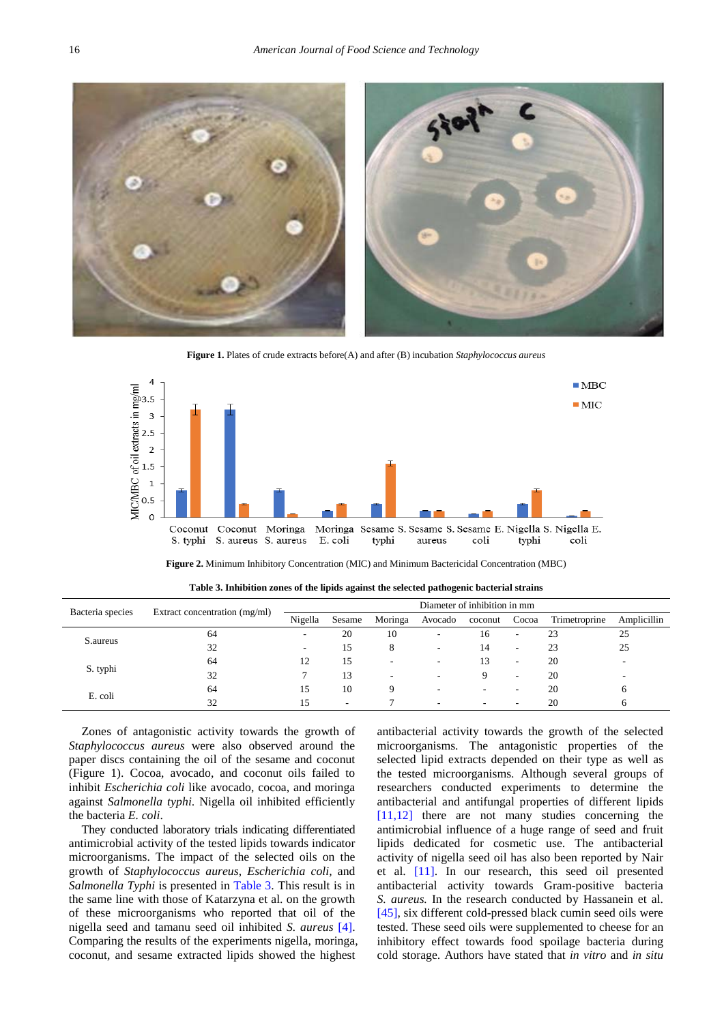

**Figure 1.** Plates of crude extracts before(A) and after (B) incubation *Staphylococcus aureus*



**Figure 2.** Minimum Inhibitory Concentration (MIC) and Minimum Bactericidal Concentration (MBC)

<span id="page-6-0"></span>

| Bacteria species | Extract concentration (mg/ml) | Diameter of inhibition in mm |        |                          |         |         |                          |               |             |
|------------------|-------------------------------|------------------------------|--------|--------------------------|---------|---------|--------------------------|---------------|-------------|
|                  |                               | Nigella                      | Sesame | Moringa                  | Avocado | coconut | Cocoa                    | Trimetroprine | Amplicillin |
| S.aureus         | 64                            | $\overline{\phantom{a}}$     | 20     | 10                       | ۰       | 16      | $\overline{\phantom{a}}$ | 23            | 25          |
|                  | 32                            |                              | 15     | 8                        |         | 14      | $\overline{\phantom{a}}$ | 23            | 25          |
| S. typhi         | 64                            | 12                           | 15     | $\overline{\phantom{a}}$ | ٠       | 13      | $\overline{\phantom{a}}$ | 20            |             |
|                  | 32                            |                              | 13     | ٠                        | ٠       | Q.      | $\overline{\phantom{a}}$ | 20            |             |
| E. coli          | 64                            | 15                           | 10     |                          |         |         |                          | 20            |             |
|                  | 32                            |                              |        |                          | ۰       |         |                          | 20            |             |

**Table 3. Inhibition zones of the lipids against the selected pathogenic bacterial strains**

Zones of antagonistic activity towards the growth of *Staphylococcus aureus* were also observed around the paper discs containing the oil of the sesame and coconut (Figure 1). Cocoa, avocado, and coconut oils failed to inhibit *Escherichia coli* like avocado, cocoa, and moringa against *Salmonella typhi*. Nigella oil inhibited efficiently the bacteria *E. coli*.

They conducted laboratory trials indicating differentiated antimicrobial activity of the tested lipids towards indicator microorganisms. The impact of the selected oils on the growth of *Staphylococcus aureus*, *Escherichia coli,* and *Salmonella Typhi* is presented in [Table 3.](#page-6-0) This result is in the same line with those of Katarzyna et al. on the growth of these microorganisms who reported that oil of the nigella seed and tamanu seed oil inhibited *S. aureus* [\[4\].](#page-7-3) Comparing the results of the experiments nigella, moringa, coconut, and sesame extracted lipids showed the highest

antibacterial activity towards the growth of the selected microorganisms. The antagonistic properties of the selected lipid extracts depended on their type as well as the tested microorganisms. Although several groups of researchers conducted experiments to determine the antibacterial and antifungal properties of different lipids [\[11,12\]](#page-8-0) there are not many studies concerning the antimicrobial influence of a huge range of seed and fruit lipids dedicated for cosmetic use. The antibacterial activity of nigella seed oil has also been reported by Nair et al. [\[11\].](#page-8-0) In our research, this seed oil presented antibacterial activity towards Gram-positive bacteria *S. aureus.* In the research conducted by Hassanein et al. [\[45\],](#page-8-32) six different cold-pressed black cumin seed oils were tested. These seed oils were supplemented to cheese for an inhibitory effect towards food spoilage bacteria during cold storage. Authors have stated that *in vitro* and *in situ*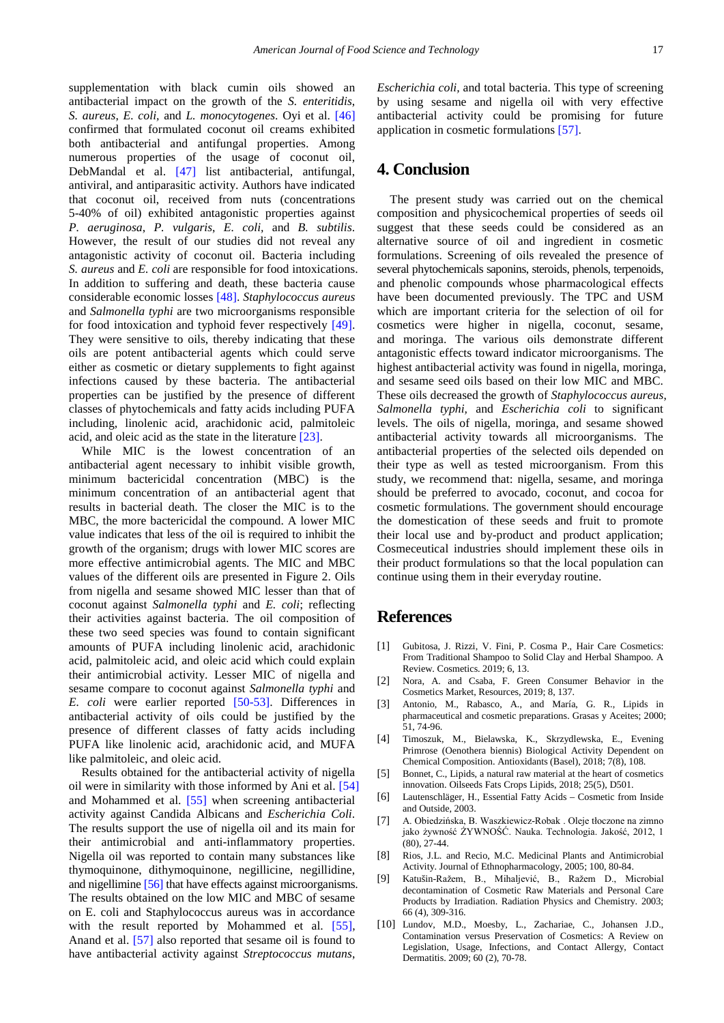supplementation with black cumin oils showed an antibacterial impact on the growth of the *S. enteritidis*, *S. aureus*, *E. coli,* and *L. monocytogenes*. Oyi et al. [\[46\]](#page-8-33) confirmed that formulated coconut oil creams exhibited both antibacterial and antifungal properties. Among numerous properties of the usage of coconut oil, DebMandal et al. [\[47\]](#page-8-34) list antibacterial, antifungal, antiviral, and antiparasitic activity. Authors have indicated that coconut oil, received from nuts (concentrations 5-40% of oil) exhibited antagonistic properties against *P. aeruginosa*, *P. vulgaris*, *E. coli,* and *B. subtilis*. However, the result of our studies did not reveal any antagonistic activity of coconut oil. Bacteria including *S. aureus* and *E. coli* are responsible for food intoxications. In addition to suffering and death, these bacteria cause considerable economic losses [\[48\].](#page-8-35) *Staphylococcus aureus* and *Salmonella typhi* are two microorganisms responsible for food intoxication and typhoid fever respectively [\[49\].](#page-8-36) They were sensitive to oils, thereby indicating that these oils are potent antibacterial agents which could serve either as cosmetic or dietary supplements to fight against infections caused by these bacteria. The antibacterial properties can be justified by the presence of different classes of phytochemicals and fatty acids including PUFA including, linolenic acid, arachidonic acid, palmitoleic acid, and oleic acid as the state in the literature [\[23\].](#page-8-10)

While MIC is the lowest concentration of an antibacterial agent necessary to inhibit visible growth, minimum bactericidal concentration (MBC) is the minimum concentration of an antibacterial agent that results in bacterial death. The closer the MIC is to the MBC, the more bactericidal the compound. A lower MIC value indicates that less of the oil is required to inhibit the growth of the organism; drugs with lower MIC scores are more effective antimicrobial agents. The MIC and MBC values of the different oils are presented in Figure 2. Oils from nigella and sesame showed MIC lesser than that of coconut against *Salmonella typhi* and *E. coli*; reflecting their activities against bacteria. The oil composition of these two seed species was found to contain significant amounts of PUFA including linolenic acid, arachidonic acid, palmitoleic acid, and oleic acid which could explain their antimicrobial activity. Lesser MIC of nigella and sesame compare to coconut against *Salmonella typhi* and *E. coli* were earlier reported [\[50-53\].](#page-8-37) Differences in antibacterial activity of oils could be justified by the presence of different classes of fatty acids including PUFA like linolenic acid, arachidonic acid, and MUFA like palmitoleic, and oleic acid.

Results obtained for the antibacterial activity of nigella oil were in similarity with those informed by Ani et al. [\[54\]](#page-9-0) and Mohammed et al. [\[55\]](#page-9-1) when screening antibacterial activity against Candida Albicans and *Escherichia Coli*. The results support the use of nigella oil and its main for their antimicrobial and anti-inflammatory properties. Nigella oil was reported to contain many substances like thymoquinone, dithymoquinone, negillicine, negillidine, and nigellimin[e \[56\]](#page-9-2) that have effects against microorganisms. The results obtained on the low MIC and MBC of sesame on E. coli and Staphylococcus aureus was in accordance with the result reported by Mohammed et al. [\[55\],](#page-9-1) Anand et al. [\[57\]](#page-9-3) also reported that sesame oil is found to have antibacterial activity against *Streptococcus mutans*,

*Escherichia coli,* and total bacteria. This type of screening by using sesame and nigella oil with very effective antibacterial activity could be promising for future application in cosmetic formulations [\[57\].](#page-9-3)

# **4. Conclusion**

The present study was carried out on the chemical composition and physicochemical properties of seeds oil suggest that these seeds could be considered as an alternative source of oil and ingredient in cosmetic formulations. Screening of oils revealed the presence of several phytochemicals saponins, steroids, phenols, terpenoids, and phenolic compounds whose pharmacological effects have been documented previously. The TPC and USM which are important criteria for the selection of oil for cosmetics were higher in nigella, coconut, sesame, and moringa. The various oils demonstrate different antagonistic effects toward indicator microorganisms. The highest antibacterial activity was found in nigella, moringa, and sesame seed oils based on their low MIC and MBC. These oils decreased the growth of *Staphylococcus aureus*, *Salmonella typhi,* and *Escherichia coli* to significant levels. The oils of nigella, moringa, and sesame showed antibacterial activity towards all microorganisms. The antibacterial properties of the selected oils depended on their type as well as tested microorganism. From this study, we recommend that: nigella, sesame, and moringa should be preferred to avocado, coconut, and cocoa for cosmetic formulations. The government should encourage the domestication of these seeds and fruit to promote their local use and by-product and product application; Cosmeceutical industries should implement these oils in their product formulations so that the local population can continue using them in their everyday routine.

# **References**

- <span id="page-7-0"></span>[1] Gubitosa, J. Rizzi, V. Fini, P. Cosma P., Hair Care Cosmetics: From Traditional Shampoo to Solid Clay and Herbal Shampoo. A Review. Cosmetics. 2019; 6, 13.
- <span id="page-7-1"></span>[2] Nora, A. and Csaba, F. Green Consumer Behavior in the Cosmetics Market, Resources, 2019; 8, 137.
- <span id="page-7-2"></span>[3] Antonio, M., Rabasco, A., and María, G. R., Lipids in pharmaceutical and cosmetic preparations. Grasas y Aceites; 2000; 51, 74-96.
- <span id="page-7-3"></span>[4] Timoszuk, M., Bielawska, K., Skrzydlewska, E., Evening Primrose (Oenothera biennis) Biological Activity Dependent on Chemical Composition. Antioxidants (Basel), 2018; 7(8), 108.
- <span id="page-7-4"></span>[5] Bonnet, C., Lipids, a natural raw material at the heart of cosmetics innovation. Oilseeds Fats Crops Lipids, 2018; 25(5), D501.
- <span id="page-7-5"></span>[6] Lautenschläger, H., Essential Fatty Acids – Cosmetic from Inside and Outside, 2003.
- <span id="page-7-6"></span>[7] A. Obiedzińska, B. Waszkiewicz-Robak . Oleje tłoczone na zimno jako żywność ŻYWNOŚĆ. Nauka. Technologia. Jakość, 2012, 1 (80), 27-44.
- [8] Rios, J.L. and Recio, M.C. Medicinal Plants and Antimicrobial Activity. Journal of Ethnopharmacology, 2005; 100, 80-84.
- <span id="page-7-7"></span>[9] Katušin-Ražem, B., Mihaljević, B., Ražem D., Microbial decontamination of Cosmetic Raw Materials and Personal Care Products by Irradiation. Radiation Physics and Chemistry. 2003; 66 (4), 309-316.
- <span id="page-7-8"></span>[10] Lundov, M.D., Moesby, L., Zachariae, C., Johansen J.D., Contamination versus Preservation of Cosmetics: A Review on Legislation, Usage, Infections, and Contact Allergy, Contact Dermatitis. 2009; 60 (2), 70-78.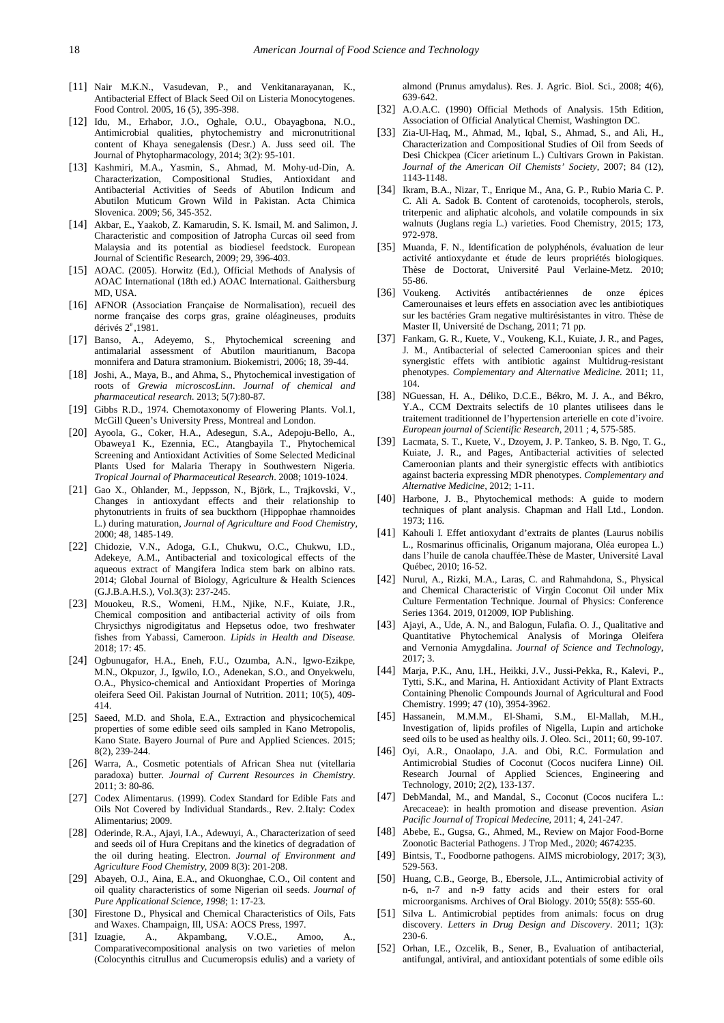- <span id="page-8-0"></span>[11] Nair M.K.N., Vasudevan, P., and Venkitanarayanan, K., Antibacterial Effect of Black Seed Oil on Listeria Monocytogenes. Food Control. 2005, 16 (5), 395-398.
- [12] Idu, M., Erhabor, J.O., Oghale, O.U., Obayagbona, N.O., Antimicrobial qualities, phytochemistry and micronutritional content of Khaya senegalensis (Desr.) A. Juss seed oil. The Journal of Phytopharmacology, 2014; 3(2): 95-101.
- [13] Kashmiri, M.A., Yasmin, S., Ahmad, M. Mohy-ud-Din, A. Characterization, Compositional Studies, Antioxidant and Antibacterial Activities of Seeds of Abutilon Indicum and Abutilon Muticum Grown Wild in Pakistan. Acta Chimica Slovenica. 2009; 56, 345-352.
- <span id="page-8-1"></span>[14] Akbar, E., Yaakob, Z. Kamarudin, S. K. Ismail, M. and Salimon, J. Characteristic and composition of Jatropha Curcas oil seed from Malaysia and its potential as biodiesel feedstock. European Journal of Scientific Research, 2009; 29, 396-403.
- <span id="page-8-2"></span>[15] AOAC. (2005). Horwitz (Ed.), Official Methods of Analysis of AOAC International (18th ed.) AOAC International. Gaithersburg MD, USA.
- <span id="page-8-3"></span>[16] AFNOR (Association Française de Normalisation), recueil des norme française des corps gras, graine oléagineuses, produits dérivés 2<sup>e</sup> ,1981.
- <span id="page-8-4"></span>[17] Banso, A., Adeyemo, S., Phytochemical screening and antimalarial assessment of Abutilon mauritianum, Bacopa monnifera and Datura stramonium. Biokemistri, 2006; 18, 39-44.
- <span id="page-8-5"></span>[18] Joshi, A., Maya, B., and Ahma, S., Phytochemical investigation of roots of *Grewia microscosLinn*. *Journal of chemical and pharmaceutical research.* 2013; 5(7):80-87*.*
- <span id="page-8-6"></span>[19] Gibbs R.D., 1974. Chemotaxonomy of Flowering Plants. Vol.1, McGill Queen's University Press, Montreal and London.
- <span id="page-8-7"></span>[20] Ayoola, G., Coker, H.A., Adesegun, S.A., Adepoju-Bello, A., Obaweya1 K., Ezennia, EC., Atangbayila T., Phytochemical Screening and Antioxidant Activities of Some Selected Medicinal Plants Used for Malaria Therapy in Southwestern Nigeria. *Tropical Journal of Pharmaceutical Research*. 2008; 1019-1024.
- <span id="page-8-8"></span>[21] Gao X., Ohlander, M., Jeppsson, N., Björk, L., Trajkovski, V., Changes in antioxydant effects and their relationship to phytonutrients in fruits of sea buckthorn (Hippophae rhamnoides L.) during maturation, *Journal of Agriculture and Food Chemistry,* 2000; 48, 1485-149.
- <span id="page-8-9"></span>[22] Chidozie, V.N., Adoga, G.I., Chukwu, O.C., Chukwu, I.D., Adekeye, A.M., Antibacterial and toxicological effects of the aqueous extract of Mangifera Indica stem bark on albino rats. 2014; Global Journal of Biology, Agriculture & Health Sciences (G.J.B.A.H.S.), Vol.3(3): 237-245.
- <span id="page-8-10"></span>[23] Mouokeu, R.S., Womeni, H.M., Njike, N.F., Kuiate, J.R., Chemical composition and antibacterial activity of oils from Chrysicthys nigrodigitatus and Hepsetus odoe, two freshwater fishes from Yabassi, Cameroon. *Lipids in Health and Disease*. 2018; 17: 45.
- <span id="page-8-11"></span>[24] Ogbunugafor, H.A., Eneh, F.U., Ozumba, A.N., Igwo-Ezikpe, M.N., Okpuzor, J., Igwilo, I.O., Adenekan, S.O., and Onyekwelu, O.A., Physico-chemical and Antioxidant Properties of Moringa oleifera Seed Oil. Pakistan Journal of Nutrition. 2011; 10(5), 409- 414.
- <span id="page-8-12"></span>[25] Saeed, M.D. and Shola, E.A., Extraction and physicochemical properties of some edible seed oils sampled in Kano Metropolis, Kano State. Bayero Journal of Pure and Applied Sciences. 2015; 8(2), 239-244.
- <span id="page-8-13"></span>[26] Warra, A., Cosmetic potentials of African Shea nut (vitellaria paradoxa) butter. *Journal of Current Resources in Chemistry*. 2011; 3: 80-86.
- <span id="page-8-14"></span>[27] Codex Alimentarus. (1999). Codex Standard for Edible Fats and Oils Not Covered by Individual Standards., Rev. 2.Italy: Codex Alimentarius; 2009.
- <span id="page-8-15"></span>[28] Oderinde, R.A., Ajayi, I.A., Adewuyi, A., Characterization of seed and seeds oil of Hura Crepitans and the kinetics of degradation of the oil during heating. Electron. *Journal of Environment and Agriculture Food Chemistry*, 2009 8(3): 201-208.
- <span id="page-8-16"></span>[29] Abayeh, O.J., Aina, E.A., and Okuonghae, C.O., Oil content and oil quality characteristics of some Nigerian oil seeds. *Journal of Pure Applicational Science, 1998*; 1: 17-23.
- <span id="page-8-17"></span>[30] Firestone D., Physical and Chemical Characteristics of Oils, Fats and Waxes. Champaign, IIl, USA: AOCS Press, 1997.
- <span id="page-8-18"></span>[31] Izuagie, A., Akpambang, V.O.E., Amoo, A., Comparativecompositional analysis on two varieties of melon (Colocynthis citrullus and Cucumeropsis edulis) and a variety of

almond (Prunus amydalus). Res. J. Agric. Biol. Sci., 2008; 4(6), 639-642.

- <span id="page-8-19"></span>[32] A.O.A.C. (1990) Official Methods of Analysis. 15th Edition, Association of Official Analytical Chemist, Washington DC.
- <span id="page-8-20"></span>[33] Zia-Ul-Haq, M., Ahmad, M., Iqbal, S., Ahmad, S., and Ali, H., Characterization and Compositional Studies of Oil from Seeds of Desi Chickpea (Cicer arietinum L.) Cultivars Grown in Pakistan. *Journal of the American Oil Chemists' Society*, 2007; 84 (12), 1143-1148.
- <span id="page-8-21"></span>[34] Ikram, B.A., Nizar, T., Enrique M., Ana, G. P., Rubio Maria C. P. C. Ali A. Sadok B. Content of carotenoids, tocopherols, sterols, triterpenic and aliphatic alcohols, and volatile compounds in six walnuts (Juglans regia L.) varieties. Food Chemistry, 2015; 173, 972-978.
- <span id="page-8-22"></span>[35] Muanda, F. N., Identification de polyphénols, évaluation de leur activité antioxydante et étude de leurs propriétés biologiques. Thèse de Doctorat, Université Paul Verlaine-Metz. 2010; 55-86.
- <span id="page-8-23"></span>[36] Voukeng. Activités antibactériennes de onze épices Camerounaises et leurs effets en association avec les antibiotiques sur les bactéries Gram negative multirésistantes in vitro. Thèse de Master II, Université de Dschang, 2011; 71 pp.
- <span id="page-8-24"></span>[37] Fankam, G. R., Kuete, V., Voukeng, K.I., Kuiate, J. R., and Pages, J. M., Antibacterial of selected Cameroonian spices and their synergistic effets with antibiotic against Multidrug-resistant phenotypes. *Complementary and Alternative Medicine*. 2011; 11, 104.
- <span id="page-8-25"></span>[38] NGuessan, H. A., Déliko, D.C.E., Békro, M. J. A., and Békro, Y.A., CCM Dextraits selectifs de 10 plantes utilisees dans le traitement traditionnel de l'hypertension arterielle en cote d'ivoire. *European journal of Scientific Research*, 2011 ; 4, 575-585.
- <span id="page-8-26"></span>[39] Lacmata, S. T., Kuete, V., Dzoyem, J. P. Tankeo, S. B. Ngo, T. G., Kuiate, J. R., and Pages, Antibacterial activities of selected Cameroonian plants and their synergistic effects with antibiotics against bacteria expressing MDR phenotypes. *Complementary and Alternative Medicine,* 2012; 1-11.
- <span id="page-8-27"></span>[40] Harbone, J. B., Phytochemical methods: A guide to modern techniques of plant analysis. Chapman and Hall Ltd., London. 1973; 116.
- <span id="page-8-28"></span>[41] Kahouli I. Effet antioxydant d'extraits de plantes (Laurus nobilis L., Rosmarinus officinalis, Origanum majorana, Oléa europea L.) dans l'huile de canola chauffée.Thèse de Master, Université Laval Québec, 2010; 16-52.
- <span id="page-8-29"></span>[42] Nurul, A., Rizki, M.A., Laras, C. and Rahmahdona, S., Physical and Chemical Characteristic of Virgin Coconut Oil under Mix Culture Fermentation Technique. Journal of Physics: Conference Series 1364. 2019, 012009, IOP Publishing.
- <span id="page-8-30"></span>[43] Ajayi, A., Ude, A. N., and Balogun, Fulafia. O. J., Qualitative and Quantitative Phytochemical Analysis of Moringa Oleifera and Vernonia Amygdalina. *Journal of Science and Technology*, 2017; 3.
- <span id="page-8-31"></span>[44] Marja, P.K., Anu, I.H., Heikki, J.V., Jussi-Pekka, R., Kalevi, P., Tytti, S.K., and Marina, H. Antioxidant Activity of Plant Extracts Containing Phenolic Compounds Journal of Agricultural and Food Chemistry. 1999; 47 (10), 3954-3962.
- <span id="page-8-32"></span>[45] Hassanein, M.M.M., El-Shami, S.M., El-Mallah, M.H., Investigation of, lipids profiles of Nigella, Lupin and artichoke seed oils to be used as healthy oils. J. Oleo. Sci., 2011; 60, 99-107.
- <span id="page-8-33"></span>[46] Oyi, A.R., Onaolapo, J.A. and Obi, R.C. Formulation and Antimicrobial Studies of Coconut (Cocos nucifera Linne) Oil. Research Journal of Applied Sciences, Engineering and Technology, 2010; 2(2), 133-137.
- <span id="page-8-34"></span>[47] DebMandal, M., and Mandal, S., Coconut (Cocos nucifera L.: Arecaceae): in health promotion and disease prevention. *Asian Pacific Journal of Tropical Medecin*e, 2011; 4, 241-247.
- <span id="page-8-35"></span>[48] Abebe, E., Gugsa, G., Ahmed, M., Review on Major Food-Borne Zoonotic Bacterial Pathogens. J Trop Med., 2020; 4674235.
- <span id="page-8-36"></span>[49] Bintsis, T., Foodborne pathogens. AIMS microbiology, 2017; 3(3), 529-563.
- <span id="page-8-37"></span>[50] Huang, C.B., George, B., Ebersole, J.L., Antimicrobial activity of n-6, n-7 and n-9 fatty acids and their esters for oral microorganisms. Archives of Oral Biology. 2010; 55(8): 555-60.
- [51] Silva L. Antimicrobial peptides from animals: focus on drug discovery. *Letters in Drug Design and Discovery*. 2011; 1(3): 230-6.
- [52] Orhan, I.E., Ozcelik, B., Sener, B., Evaluation of antibacterial, antifungal, antiviral, and antioxidant potentials of some edible oils